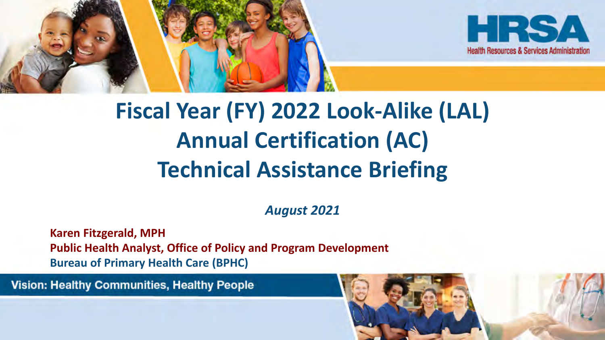



# **Fiscal Year (FY) 2022 Look-Alike (LAL) Annual Certification (AC) Technical Assistance Briefing**

*August 2021*

**Karen Fitzgerald, MPH Public Health Analyst, Office of Policy and Program Development Bureau of Primary Health Care (BPHC)**

**Vision: Healthy Communities, Healthy People** 

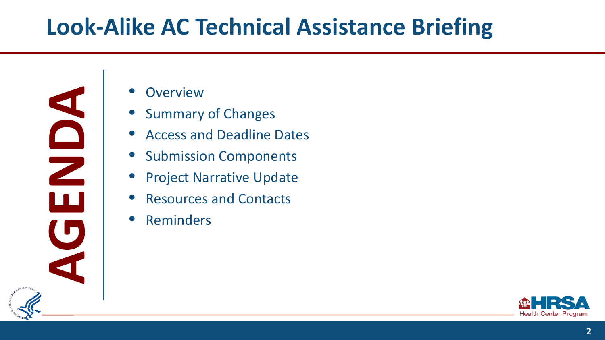# **Look-Alike AC Technical Assistance Briefing**

**AGENT ACCESS AND ACCESS AND ACCESS AND ACCESS AND ACCESS AND ACCESS AND ACCESS AND ACCESS AND ACCESS AND ACCESS AND ACCESS AND ACCESS AND ACCESS AND ACCESS AND ACCESS AND ACCESS AND ACCESS AND ACCESS AND ACCESS AND ACCESS** 



- Summary of Changes
- Access and Deadline Dates
- Submission Components
- **Project Narrative Update**
- Resources and Contacts
- **Reminders**

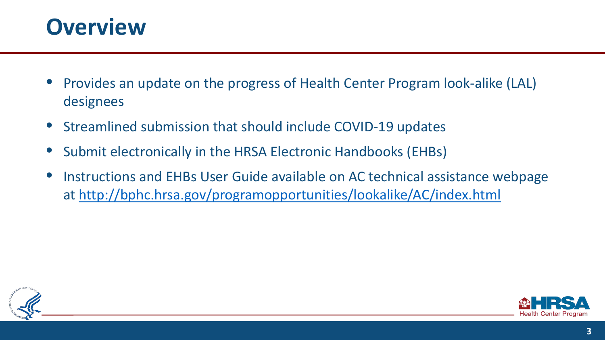

- Provides an update on the progress of Health Center Program look-alike (LAL) designees
- Streamlined submission that should include COVID-19 updates
- Submit electronically in the HRSA Electronic Handbooks (EHBs)
- Instructions and EHBs User Guide available on AC technical assistance webpage at<http://bphc.hrsa.gov/programopportunities/lookalike/AC/index.html>



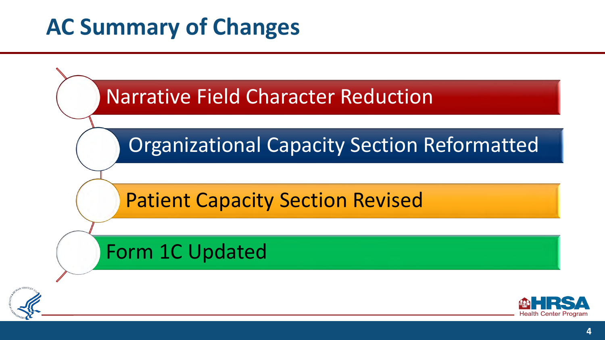# **AC Summary of Changes**

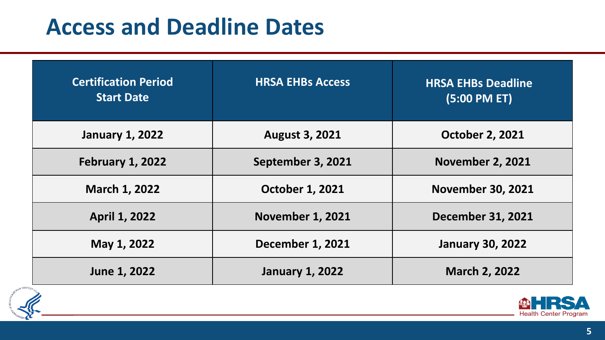# **Access and Deadline Dates**

| <b>Certification Period</b><br><b>Start Date</b> | <b>HRSA EHBs Access</b> | <b>HRSA EHBs Deadline</b><br>$(5:00$ PM ET) |
|--------------------------------------------------|-------------------------|---------------------------------------------|
| <b>January 1, 2022</b>                           | <b>August 3, 2021</b>   | <b>October 2, 2021</b>                      |
| <b>February 1, 2022</b>                          | September 3, 2021       | <b>November 2, 2021</b>                     |
| <b>March 1, 2022</b>                             | <b>October 1, 2021</b>  | <b>November 30, 2021</b>                    |
| <b>April 1, 2022</b>                             | <b>November 1, 2021</b> | <b>December 31, 2021</b>                    |
| May 1, 2022                                      | <b>December 1, 2021</b> | <b>January 30, 2022</b>                     |
| June 1, 2022                                     | <b>January 1, 2022</b>  | <b>March 2, 2022</b>                        |



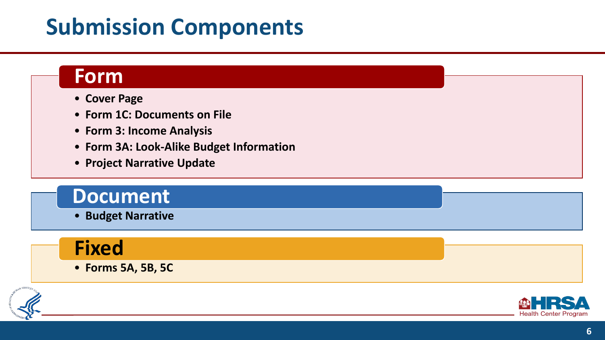# **Submission Components**

#### **Form**

- **Cover Page**
- **Form 1C: Documents on File**
- **Form 3: Income Analysis**
- **Form 3A: Look-Alike Budget Information**
- **Project Narrative Update**

#### **Document**

• **Budget Narrative**

### **Fixed**

• **Forms 5A, 5B, 5C**



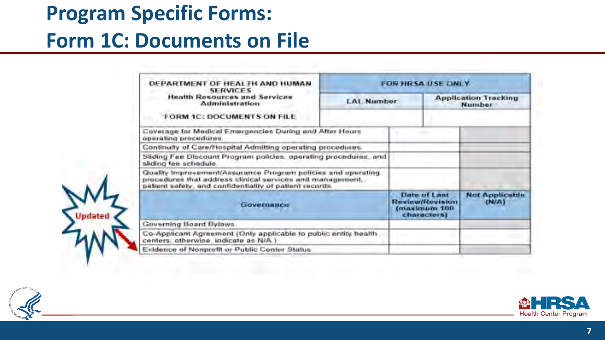### **Program Specific Forms:**

#### **Form 1C: Documents on File**

| DEPARTMENT OF HEALTH AND HUMAN<br><b>SERVICES</b>                                                                                                                                    | FOR HRSA USE ONLY                                                            |  |                                |                                       |  |  |
|--------------------------------------------------------------------------------------------------------------------------------------------------------------------------------------|------------------------------------------------------------------------------|--|--------------------------------|---------------------------------------|--|--|
| <b>Health Resources and Services</b><br>Administration                                                                                                                               | <b>LAL Number</b>                                                            |  |                                | <b>Application Tracking</b><br>Number |  |  |
| FORM 1C: DOCUMENTS ON FILE                                                                                                                                                           |                                                                              |  |                                |                                       |  |  |
| Coverage for Medical Entergencies During and After Hours<br>operating procedures                                                                                                     |                                                                              |  |                                |                                       |  |  |
| Continuity of Care/Hospital Admitting operating procedures.                                                                                                                          |                                                                              |  |                                |                                       |  |  |
| Sliding Fee Discount Program policies, operating procedures, and<br>sliding fee schedule.                                                                                            |                                                                              |  |                                |                                       |  |  |
| Quality Improvement/Assurance Program policies and operating<br>procedures that address clinical services and management.<br>patient safety, and canfidentiality of patient records. |                                                                              |  |                                |                                       |  |  |
| <b>GOVARDANCE</b>                                                                                                                                                                    | <b>Date of Last</b><br><b>Review/Revision</b><br>(maximum 100<br>charactersi |  | <b>Not Applicable</b><br>(N/A) |                                       |  |  |
| Governing Board Bylaws.                                                                                                                                                              |                                                                              |  |                                |                                       |  |  |
| Co-Applicant Agreement (Only applicable to public entity bealth<br>centers; otherwise, indicate as N/A.)                                                                             |                                                                              |  |                                |                                       |  |  |
| Evidence of Nonprofit or Public Center Status                                                                                                                                        |                                                                              |  |                                |                                       |  |  |



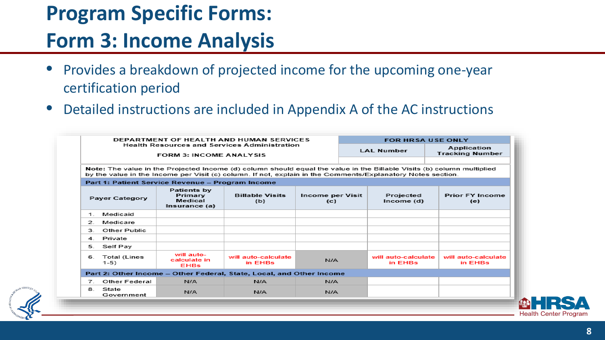# **Program Specific Forms:**

### **Form 3: Income Analysis**

- Provides a breakdown of projected income for the upcoming one-year certification period
- Detailed instructions are included in Appendix A of the AC instructions

|                                                                                                                                                                                                                                       | DEPARTMENT OF HEALTH AND HUMAN SERVICES                                                                      | <b>FOR HRSA USE ONLY</b>                                                              |                                |     |                                                    |                                |                                |  |
|---------------------------------------------------------------------------------------------------------------------------------------------------------------------------------------------------------------------------------------|--------------------------------------------------------------------------------------------------------------|---------------------------------------------------------------------------------------|--------------------------------|-----|----------------------------------------------------|--------------------------------|--------------------------------|--|
|                                                                                                                                                                                                                                       |                                                                                                              | <b>Health Resources and Services Administration</b><br><b>FORM 3: INCOME ANALYSIS</b> | <b>LAL Number</b>              |     | Application<br><b>Tracking Number</b>              |                                |                                |  |
| Note: The value in the Projected Income (d) column should equal the value in the Billable Visits (b) column multiplied<br>by the value in the Income per Visit (c) column. If not, explain in the Comments/Explanatory Notes section. |                                                                                                              |                                                                                       |                                |     |                                                    |                                |                                |  |
|                                                                                                                                                                                                                                       |                                                                                                              | Part 1: Patient Service Revenue - Program Income                                      |                                |     |                                                    |                                |                                |  |
|                                                                                                                                                                                                                                       | Patients by<br>Primary<br><b>Billable Visits</b><br><b>Payer Category</b><br>Medical<br>(b)<br>Insurance (a) |                                                                                       |                                |     | Income per Visit<br>Projected<br>Income (d)<br>(c) |                                | <b>Prior FY Income</b><br>(e)  |  |
| 1.                                                                                                                                                                                                                                    | Medicaid                                                                                                     |                                                                                       |                                |     |                                                    |                                |                                |  |
| $\mathcal{P}$                                                                                                                                                                                                                         | Medicare                                                                                                     |                                                                                       |                                |     |                                                    |                                |                                |  |
| З                                                                                                                                                                                                                                     | Other Public                                                                                                 |                                                                                       |                                |     |                                                    |                                |                                |  |
| 4                                                                                                                                                                                                                                     | Private                                                                                                      |                                                                                       |                                |     |                                                    |                                |                                |  |
| 5.                                                                                                                                                                                                                                    | Self Pay                                                                                                     |                                                                                       |                                |     |                                                    |                                |                                |  |
| 6.                                                                                                                                                                                                                                    | <b>Total (Lines</b><br>$1-5)$                                                                                | will auto-<br>calculate in<br><b>EHBs</b>                                             | will auto-calculate<br>in EHBs | N/A |                                                    | will auto-calculate<br>in EHBs | will auto-calculate<br>in EHBs |  |
| Part 2: Other Income - Other Federal, State, Local, and Other Income                                                                                                                                                                  |                                                                                                              |                                                                                       |                                |     |                                                    |                                |                                |  |
| $\mathbf{7}$                                                                                                                                                                                                                          | <b>Other Federal</b>                                                                                         | N/A                                                                                   | N/A                            | N/A |                                                    |                                |                                |  |
| 8.                                                                                                                                                                                                                                    | State<br>Government                                                                                          | N/A                                                                                   | N/A                            | N/A |                                                    |                                |                                |  |

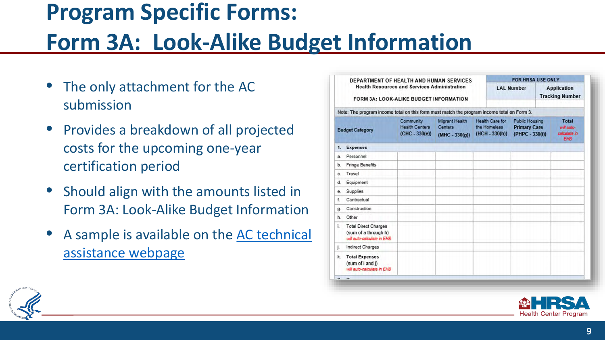# **Program Specific Forms: Form 3A: Look-Alike Budget Information**

- The only attachment for the AC submission
- Provides a breakdown of all projected costs for the upcoming one-year certification period
- Should align with the amounts listed in Form 3A: Look-Alike Budget Information
- A sample is available on the AC technical assistance webpage

| Note: The program income total on this form must match the program income total on Form 3.<br><b>Migrant Health</b><br>Community<br><b>Health Centers</b><br><b>Centers</b><br>$(CHC - 330(e))$<br>$(MHC - 330(g))$<br><b>Expenses</b><br>Personnel<br><b>Fringe Benefits</b><br>Travel<br>Equipment<br>Supplies<br>Contractual<br>Construction<br>Other<br><b>Total Direct Charges</b><br>(sum of a through h)<br>will auto-calculate in EHB.<br><b>Indirect Charges</b> |                                                            | <b>LAL Number</b> |                                                                 | <b>FOR HRSA USE ONLY</b><br><b>Application</b><br><b>Tracking Number</b> |  |
|---------------------------------------------------------------------------------------------------------------------------------------------------------------------------------------------------------------------------------------------------------------------------------------------------------------------------------------------------------------------------------------------------------------------------------------------------------------------------|------------------------------------------------------------|-------------------|-----------------------------------------------------------------|--------------------------------------------------------------------------|--|
| <b>Budget Category</b>                                                                                                                                                                                                                                                                                                                                                                                                                                                    |                                                            |                   |                                                                 |                                                                          |  |
| 1.<br>9.<br>b.                                                                                                                                                                                                                                                                                                                                                                                                                                                            | <b>Health Care for</b><br>the Homeless<br>$(HCH - 330(h))$ |                   | <b>Public Housing</b><br><b>Primary Care</b><br>(PHPC - 330(i)) |                                                                          |  |
|                                                                                                                                                                                                                                                                                                                                                                                                                                                                           |                                                            |                   |                                                                 |                                                                          |  |
|                                                                                                                                                                                                                                                                                                                                                                                                                                                                           |                                                            |                   |                                                                 |                                                                          |  |
| Ò.                                                                                                                                                                                                                                                                                                                                                                                                                                                                        |                                                            |                   |                                                                 |                                                                          |  |
| d.<br>е.<br>f.<br>д.<br>h.<br>ĩ.<br>j.                                                                                                                                                                                                                                                                                                                                                                                                                                    |                                                            |                   |                                                                 |                                                                          |  |
|                                                                                                                                                                                                                                                                                                                                                                                                                                                                           |                                                            |                   |                                                                 |                                                                          |  |
|                                                                                                                                                                                                                                                                                                                                                                                                                                                                           |                                                            |                   |                                                                 |                                                                          |  |
|                                                                                                                                                                                                                                                                                                                                                                                                                                                                           |                                                            |                   |                                                                 |                                                                          |  |
|                                                                                                                                                                                                                                                                                                                                                                                                                                                                           |                                                            |                   |                                                                 |                                                                          |  |
|                                                                                                                                                                                                                                                                                                                                                                                                                                                                           |                                                            |                   |                                                                 |                                                                          |  |
|                                                                                                                                                                                                                                                                                                                                                                                                                                                                           |                                                            |                   |                                                                 |                                                                          |  |
|                                                                                                                                                                                                                                                                                                                                                                                                                                                                           |                                                            |                   |                                                                 |                                                                          |  |
| <b>Total Expenses</b><br>k.<br>(sum of i and j)<br>will auto-calculate in EHB                                                                                                                                                                                                                                                                                                                                                                                             |                                                            |                   |                                                                 |                                                                          |  |



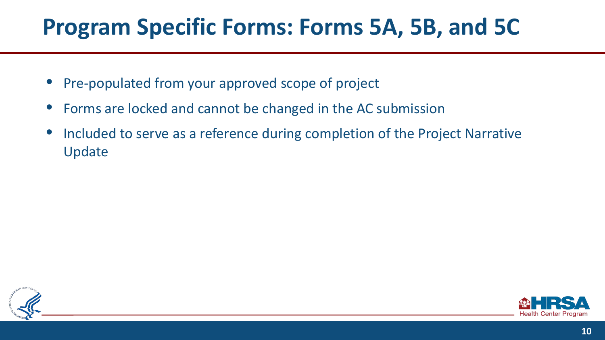# **Program Specific Forms: Forms 5A, 5B, and 5C**

- Pre-populated from your approved scope of project
- Forms are locked and cannot be changed in the AC submission
- Included to serve as a reference during completion of the Project Narrative Update



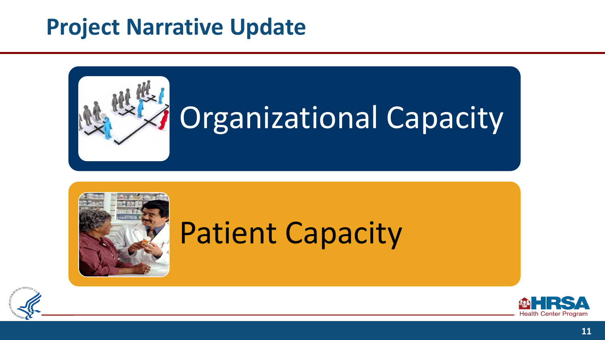## **Project Narrative Update**





# Patient Capacity



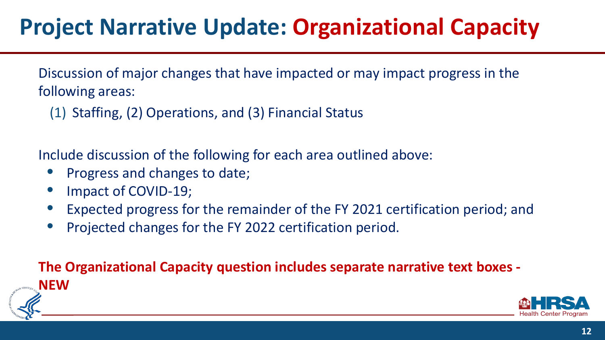# **Project Narrative Update: Organizational Capacity**

Discussion of major changes that have impacted or may impact progress in the following areas:

(1) Staffing, (2) Operations, and (3) Financial Status

Include discussion of the following for each area outlined above:

- Progress and changes to date;
- Impact of COVID-19;
- Expected progress for the remainder of the FY 2021 certification period; and
- Projected changes for the FY 2022 certification period.

**The Organizational Capacity question includes separate narrative text boxes - NEW** 



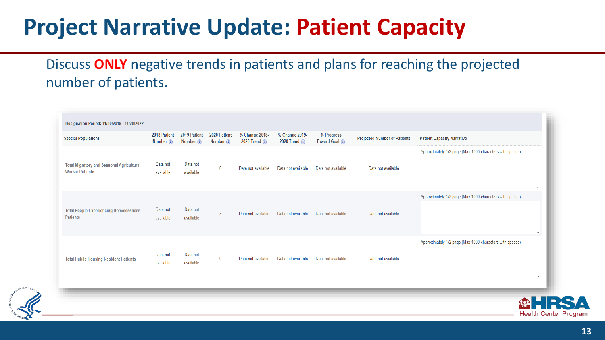# **Project Narrative Update: Patient Capacity**

#### Discuss **ONLY** negative trends in patients and plans for reaching the projected number of patients.

| Designation Period: 11/30/2019 - 11/28/2022                                |                              |                              |                              |                                  |                                                         |                               |                                     |                                                          |
|----------------------------------------------------------------------------|------------------------------|------------------------------|------------------------------|----------------------------------|---------------------------------------------------------|-------------------------------|-------------------------------------|----------------------------------------------------------|
| <b>Special Populations</b>                                                 | 2018 Patient<br>Number $(i)$ | 2019 Patient<br>Number $(i)$ | 2020 Patient<br>Number $(i)$ | % Change 2018-<br>2020 Trend (i) | % Change 2019-<br>2020 Trend $\left(\frac{1}{2}\right)$ | % Progress<br>Toward Goal (i) | <b>Projected Number of Patients</b> | <b>Patient Capacity Narrative</b>                        |
| <b>Total Migratory and Seasonal Agricultural</b><br><b>Worker Patients</b> | Data not<br>available        | Data not<br>available        | $\bf{0}$                     | Data not available               | Data not available                                      | Data not available            | Data not available                  | Approximately 1/2 page (Max 1000 characters with spaces) |
| <b>Total People Experiencing Homelessness</b><br><b>Patients</b>           | Data not<br>available        | Data not<br>available        | 3                            | Data not available               | Data not available                                      | Data not available            | Data not available                  | Approximately 1/2 page (Max 1000 characters with spaces) |
| <b>Total Public Housing Resident Patients</b>                              | Data not<br>available        | Data not<br>available        | $\bf{0}$                     | Data not available               | Data not available                                      | Data not available            | Data not available                  | Approximately 1/2 page (Max 1000 characters with spaces) |

**13**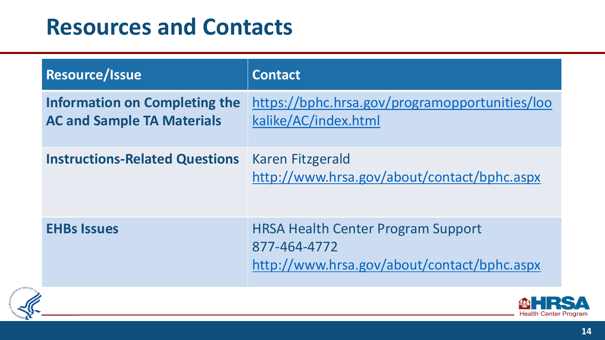# **Resources and Contacts**

| Resource/Issue                                                            | <b>Contact</b>                                                                                           |
|---------------------------------------------------------------------------|----------------------------------------------------------------------------------------------------------|
| <b>Information on Completing the</b><br><b>AC and Sample TA Materials</b> | https://bphc.hrsa.gov/programopportunities/loo<br>kalike/AC/index.html                                   |
| <b>Instructions-Related Questions</b>                                     | Karen Fitzgerald<br>http://www.hrsa.gov/about/contact/bphc.aspx                                          |
| <b>EHBs Issues</b>                                                        | <b>HRSA Health Center Program Support</b><br>877-464-4772<br>http://www.hrsa.gov/about/contact/bphc.aspx |



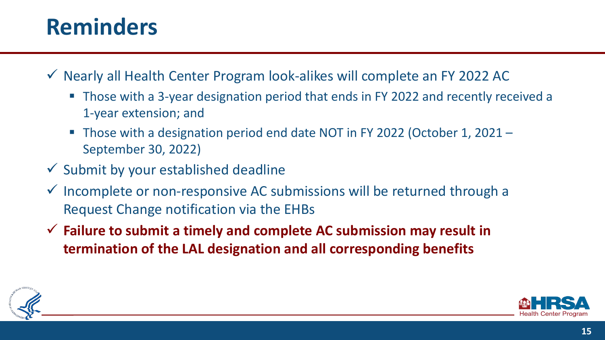# **Reminders**

- $\checkmark$  Nearly all Health Center Program look-alikes will complete an FY 2022 AC
	- Those with a 3-year designation period that ends in FY 2022 and recently received a 1-year extension; and
	- Those with a designation period end date NOT in FY 2022 (October 1, 2021 September 30, 2022)
- $\checkmark$  Submit by your established deadline
- $\checkmark$  Incomplete or non-responsive AC submissions will be returned through a Request Change notification via the EHBs
- **Failure to submit a timely and complete AC submission may result in termination of the LAL designation and all corresponding benefits**



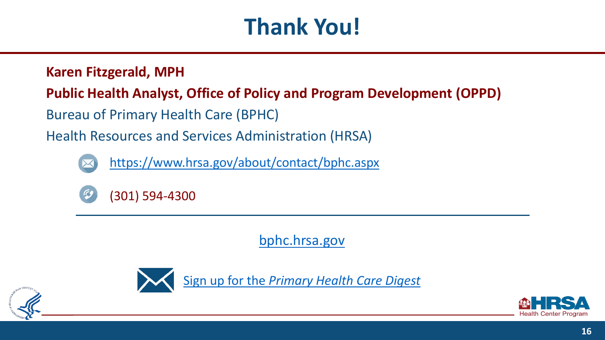# **Thank You!**

#### **Karen Fitzgerald, MPH**

#### **Public Health Analyst, Office of Policy and Program Development (OPPD)**

Bureau of Primary Health Care (BPHC)

Health Resources and Services Administration (HRSA)



<https://www.hrsa.gov/about/contact/bphc.aspx>



[bphc.hrsa.gov](https://bphc.hrsa.gov/)



Sign up for the *[Primary Health Care Digest](https://public.govdelivery.com/accounts/USHHSHRSA/subscriber/new?qsp=HRSA-subscribe)*